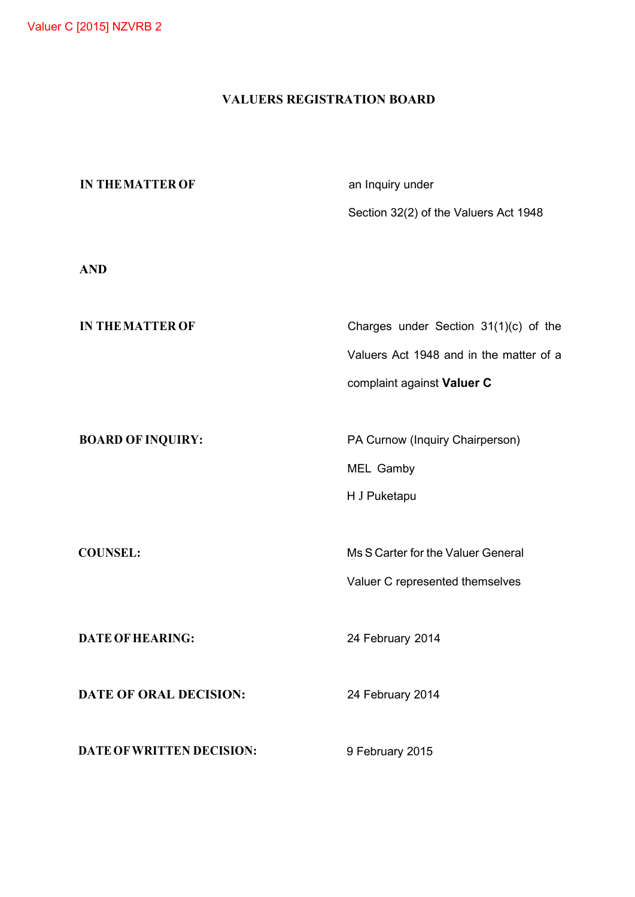# **VALUERS REGISTRATION BOARD**

| <b>IN THE MATTER OF</b>       | an Inquiry under                        |
|-------------------------------|-----------------------------------------|
|                               | Section 32(2) of the Valuers Act 1948   |
|                               |                                         |
| <b>AND</b>                    |                                         |
|                               |                                         |
| <b>IN THE MATTER OF</b>       | Charges under Section 31(1)(c) of the   |
|                               | Valuers Act 1948 and in the matter of a |
|                               | complaint against Valuer C              |
|                               |                                         |
| <b>BOARD OF INQUIRY:</b>      | PA Curnow (Inquiry Chairperson)         |
|                               | MEL Gamby                               |
|                               | H J Puketapu                            |
|                               |                                         |
| <b>COUNSEL:</b>               | Ms S Carter for the Valuer General      |
|                               | Valuer C represented themselves         |
|                               |                                         |
| <b>DATE OF HEARING:</b>       | 24 February 2014                        |
|                               |                                         |
| <b>DATE OF ORAL DECISION:</b> | 24 February 2014                        |
|                               |                                         |
| DATE OF WRITTEN DECISION:     | 9 February 2015                         |
|                               |                                         |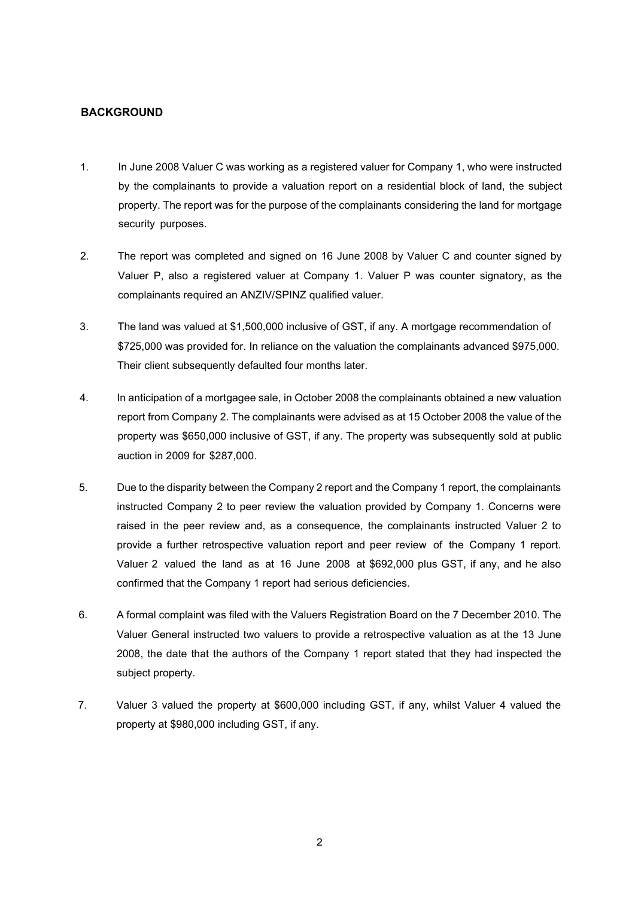#### **BACKGROUND**

- 1. In June 2008 Valuer C was working as a registered valuer for Company 1, who were instructed by the complainants to provide a valuation report on a residential block of land, the subject property. The report was for the purpose of the complainants considering the land for mortgage security purposes.
- 2. The report was completed and signed on 16 June 2008 by Valuer C and counter signed by Valuer P, also a registered valuer at Company 1. Valuer P was counter signatory, as the complainants required an ANZIV/SPINZ qualified valuer.
- 3. The land was valued at \$1,500,000 inclusive of GST, if any. A mortgage recommendation of \$725,000 was provided for. In reliance on the valuation the complainants advanced \$975,000. Their client subsequently defaulted four months later.
- 4. In anticipation of a mortgagee sale, in October 2008 the complainants obtained a new valuation report from Company 2. The complainants were advised as at 15 October 2008 the value of the property was \$650,000 inclusive of GST, if any. The property was subsequently sold at public auction in 2009 for \$287,000.
- 5. Due to the disparity between the Company 2 report and the Company 1 report, the complainants instructed Company 2 to peer review the valuation provided by Company 1. Concerns were raised in the peer review and, as a consequence, the complainants instructed Valuer 2 to provide a further retrospective valuation report and peer review of the Company 1 report. Valuer 2 valued the land as at 16 June 2008 at \$692,000 plus GST, if any, and he also confirmed that the Company 1 report had serious deficiencies.
- 6. A formal complaint was filed with the Valuers Registration Board on the 7 December 2010. The Valuer General instructed two valuers to provide a retrospective valuation as at the 13 June 2008, the date that the authors of the Company 1 report stated that they had inspected the subject property.
- 7. Valuer 3 valued the property at \$600,000 including GST, if any, whilst Valuer 4 valued the property at \$980,000 including GST, if any.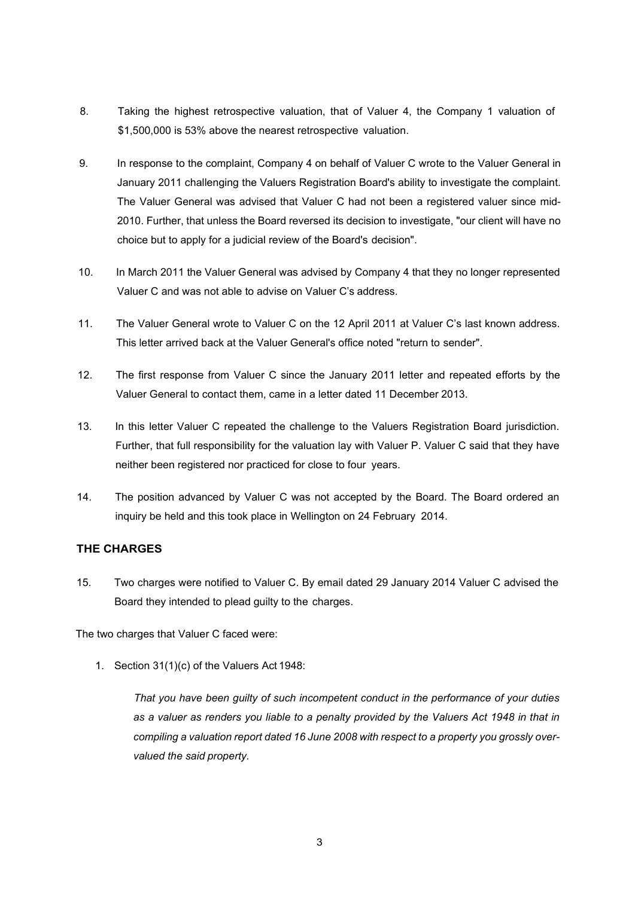- 8. Taking the highest retrospective valuation, that of Valuer 4, the Company 1 valuation of \$1,500,000 is 53% above the nearest retrospective valuation.
- 9. In response to the complaint, Company 4 on behalf of Valuer C wrote to the Valuer General in January 2011 challenging the Valuers Registration Board's ability to investigate the complaint. The Valuer General was advised that Valuer C had not been a registered valuer since mid-2010. Further, that unless the Board reversed its decision to investigate, "our client will have no choice but to apply for a judicial review of the Board's decision".
- 10. In March 2011 the Valuer General was advised by Company 4 that they no longer represented Valuer C and was not able to advise on Valuer C's address.
- 11. The Valuer General wrote to Valuer C on the 12 April 2011 at Valuer C's last known address. This letter arrived back at the Valuer General's office noted "return to sender".
- 12. The first response from Valuer C since the January 2011 letter and repeated efforts by the Valuer General to contact them, came in a letter dated 11 December 2013.
- 13. In this letter Valuer C repeated the challenge to the Valuers Registration Board jurisdiction. Further, that full responsibility for the valuation lay with Valuer P. Valuer C said that they have neither been registered nor practiced for close to four years.
- 14. The position advanced by Valuer C was not accepted by the Board. The Board ordered an inquiry be held and this took place in Wellington on 24 February 2014.

## **THE CHARGES**

15. Two charges were notified to Valuer C. By email dated 29 January 2014 Valuer C advised the Board they intended to plead guilty to the charges.

The two charges that Valuer C faced were:

1. Section 31(1)(c) of the Valuers Act 1948:

*That you have been guilty of such incompetent conduct in the performance of your duties*  as a valuer as renders you liable to a penalty provided by the Valuers Act 1948 in that in *compiling a valuation report dated 16 June 2008 with respect to a property you grossly overvalued the said property.*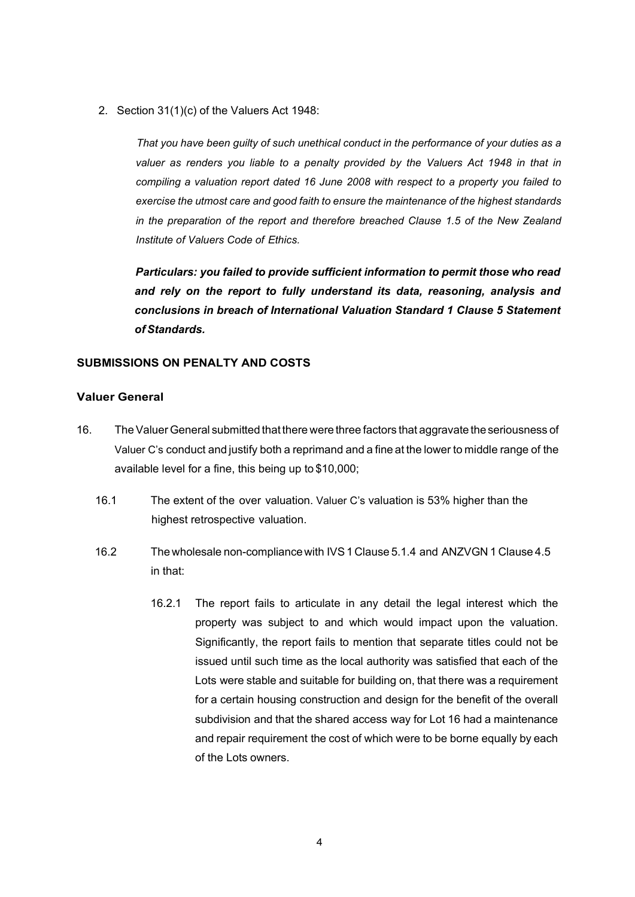2. Section 31(1)(c) of the Valuers Act 1948:

*That you have been guilty of such unethical conduct in the performance of your duties as a valuer as renders you liable to a penalty provided by the Valuers Act 1948 in that in compiling a valuation report dated 16 June 2008 with respect to a property you failed to exercise the utmost care and good faith to ensure the maintenance of the highest standards in the preparation of the report and therefore breached Clause 1.5 of the New Zealand Institute of Valuers Code of Ethics.*

*Particulars: you failed to provide sufficient information to permit those who read and rely on the report to fully understand its data, reasoning, analysis and conclusions in breach of International Valuation Standard 1 Clause 5 Statement ofStandards.*

### **SUBMISSIONS ON PENALTY AND COSTS**

## **Valuer General**

- 16. The Valuer General submitted that there were three factors that aggravate the seriousness of Valuer C's conduct and justify both a reprimand and a fine at the lower to middle range of the available level for a fine, this being up to \$10,000;
	- 16.1 The extent of the over valuation. Valuer C's valuation is 53% higher than the highest retrospective valuation.
	- 16.2 The wholesale non-compliancewith IVS1 Clause 5.1.4 and ANZVGN 1 Clause 4.5 in that:
		- 16.2.1 The report fails to articulate in any detail the legal interest which the property was subject to and which would impact upon the valuation. Significantly, the report fails to mention that separate titles could not be issued until such time as the local authority was satisfied that each of the Lots were stable and suitable for building on, that there was a requirement for a certain housing construction and design for the benefit of the overall subdivision and that the shared access way for Lot 16 had a maintenance and repair requirement the cost of which were to be borne equally by each of the Lots owners.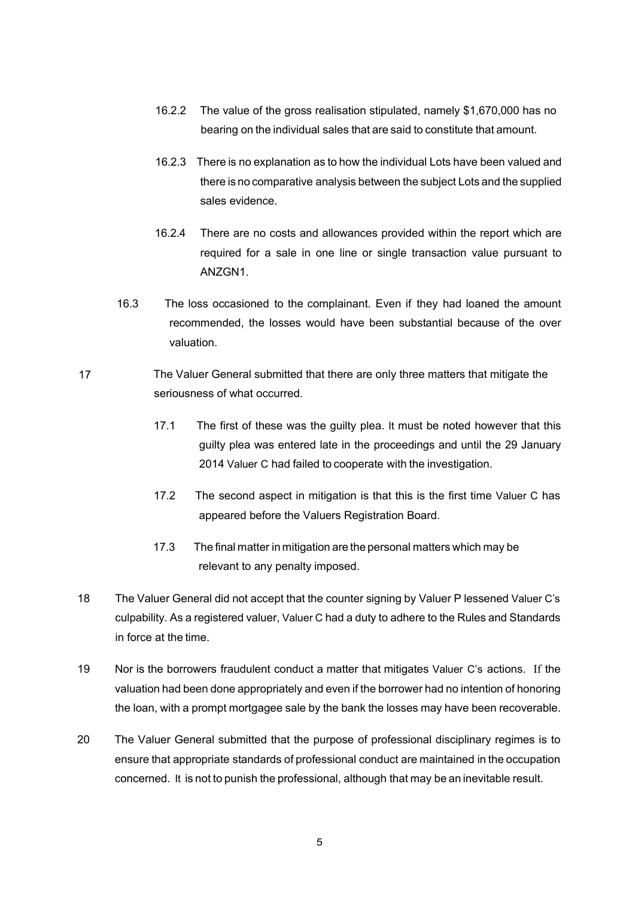- 16.2.2 The value of the gross realisation stipulated, namely \$1,670,000 has no bearing on the individual sales that are said to constitute that amount.
- 16.2.3 There is no explanation as to how the individual Lots have been valued and there is no comparative analysis between the subject Lots and the supplied sales evidence.
- 16.2.4 There are no costs and allowances provided within the report which are required for a sale in one line or single transaction value pursuant to ANZGN1.
- 16.3 The loss occasioned to the complainant. Even if they had loaned the amount recommended, the losses would have been substantial because of the over valuation.
- 17 The Valuer General submitted that there are only three matters that mitigate the seriousness of what occurred.
	- 17.1 The first of these was the guilty plea. It must be noted however that this guilty plea was entered late in the proceedings and until the 29 January 2014 Valuer C had failed to cooperate with the investigation.
	- 17.2 The second aspect in mitigation is that this is the first time Valuer C has appeared before the Valuers Registration Board.
	- 17.3 The final matter in mitigation are the personal matters which may be relevant to any penalty imposed.
- 18 The Valuer General did not accept that the counter signing by Valuer P lessened Valuer C's culpability. As a registered valuer, Valuer C had a duty to adhere to the Rules and Standards in force at the time.
- 19 Nor is the borrowers fraudulent conduct a matter that mitigates Valuer C's actions. If the valuation had been done appropriately and even if the borrower had no intention of honoring the loan, with a prompt mortgagee sale by the bank the losses may have been recoverable.
- 20 The Valuer General submitted that the purpose of professional disciplinary regimes is to ensure that appropriate standards of professional conduct are maintained in the occupation concerned. It is not to punish the professional, although that may be an inevitable result.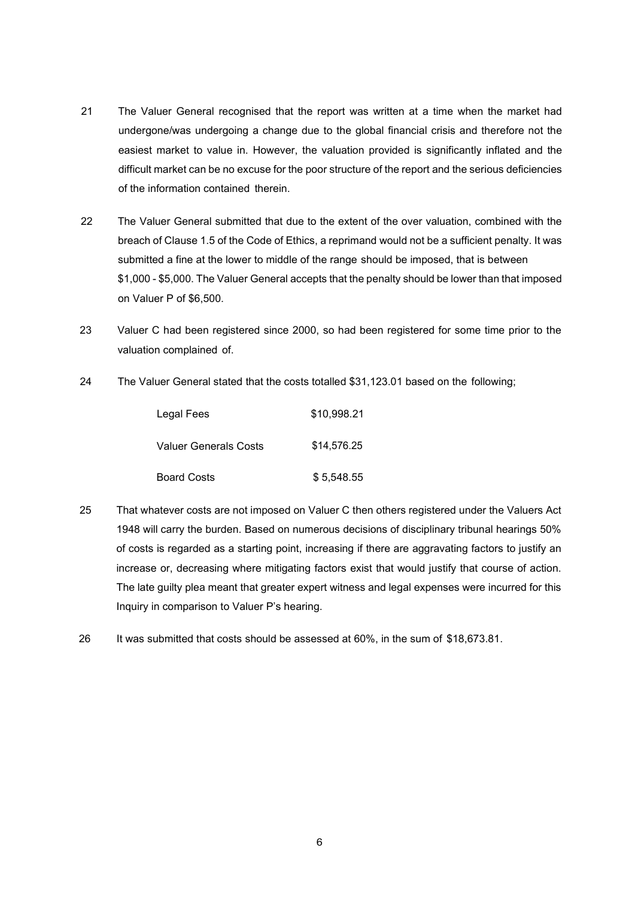- 21 The Valuer General recognised that the report was written at a time when the market had undergone/was undergoing a change due to the global financial crisis and therefore not the easiest market to value in. However, the valuation provided is significantly inflated and the difficult market can be no excuse for the poor structure of the report and the serious deficiencies of the information contained therein.
- 22 The Valuer General submitted that due to the extent of the over valuation, combined with the breach of Clause 1.5 of the Code of Ethics, a reprimand would not be a sufficient penalty. It was submitted a fine at the lower to middle of the range should be imposed, that is between \$1,000 - \$5,000. The Valuer General accepts that the penalty should be lower than that imposed on Valuer P of \$6,500.
- 23 Valuer C had been registered since 2000, so had been registered for some time prior to the valuation complained of.
- 24 The Valuer General stated that the costs totalled \$31,123.01 based on the following;

| Legal Fees            | \$10.998.21 |
|-----------------------|-------------|
| Valuer Generals Costs | \$14,576.25 |
| <b>Board Costs</b>    | \$5.548.55  |

- 25 That whatever costs are not imposed on Valuer C then others registered under the Valuers Act 1948 will carry the burden. Based on numerous decisions of disciplinary tribunal hearings 50% of costs is regarded as a starting point, increasing if there are aggravating factors to justify an increase or, decreasing where mitigating factors exist that would justify that course of action. The late guilty plea meant that greater expert witness and legal expenses were incurred for this Inquiry in comparison to Valuer P's hearing.
- 26 It was submitted that costs should be assessed at 60%, in the sum of \$18,673.81.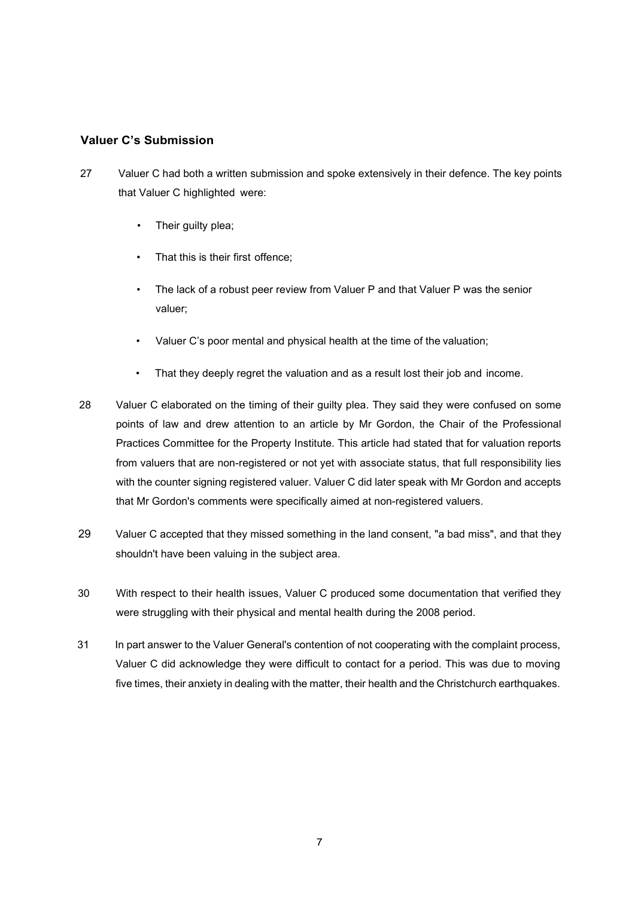## **Valuer C's Submission**

- 27 Valuer C had both a written submission and spoke extensively in their defence. The key points that Valuer C highlighted were:
	- Their guilty plea;
	- That this is their first offence:
	- The lack of a robust peer review from Valuer P and that Valuer P was the senior valuer;
	- Valuer C's poor mental and physical health at the time of the valuation;
	- That they deeply regret the valuation and as a result lost their job and income.
- 28 Valuer C elaborated on the timing of their guilty plea. They said they were confused on some points of law and drew attention to an article by Mr Gordon, the Chair of the Professional Practices Committee for the Property Institute. This article had stated that for valuation reports from valuers that are non-registered or not yet with associate status, that full responsibility lies with the counter signing registered valuer. Valuer C did later speak with Mr Gordon and accepts that Mr Gordon's comments were specifically aimed at non-registered valuers.
- 29 Valuer C accepted that they missed something in the land consent, "a bad miss", and that they shouldn't have been valuing in the subject area.
- 30 With respect to their health issues, Valuer C produced some documentation that verified they were struggling with their physical and mental health during the 2008 period.
- 31 In part answer to the Valuer General's contention of not cooperating with the complaint process, Valuer C did acknowledge they were difficult to contact for a period. This was due to moving five times, their anxiety in dealing with the matter, their health and the Christchurch earthquakes.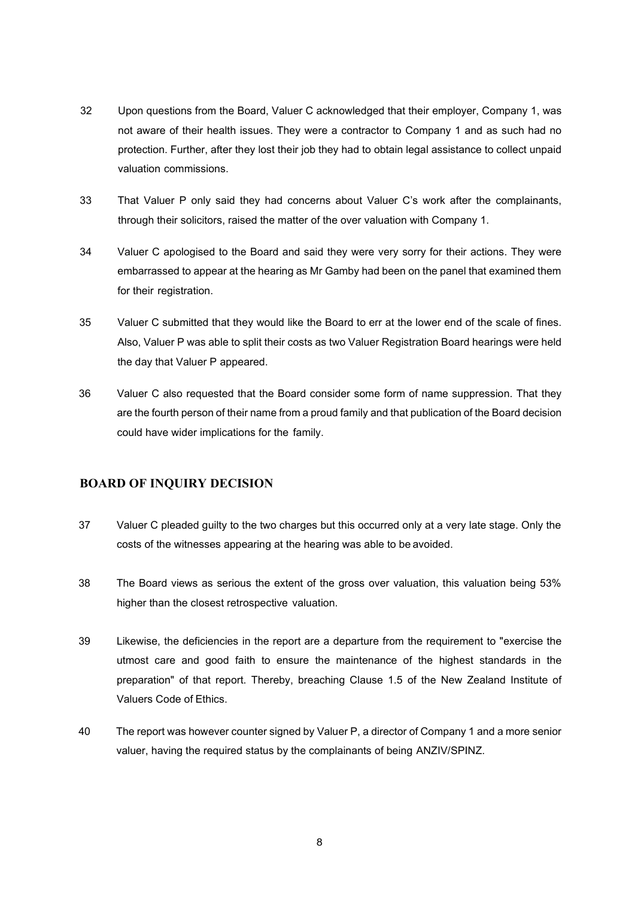- 32 Upon questions from the Board, Valuer C acknowledged that their employer, Company 1, was not aware of their health issues. They were a contractor to Company 1 and as such had no protection. Further, after they lost their job they had to obtain legal assistance to collect unpaid valuation commissions.
- 33 That Valuer P only said they had concerns about Valuer C's work after the complainants, through their solicitors, raised the matter of the over valuation with Company 1.
- 34 Valuer C apologised to the Board and said they were very sorry for their actions. They were embarrassed to appear at the hearing as Mr Gamby had been on the panel that examined them for their registration.
- 35 Valuer C submitted that they would like the Board to err at the lower end of the scale of fines. Also, Valuer P was able to split their costs as two Valuer Registration Board hearings were held the day that Valuer P appeared.
- 36 Valuer C also requested that the Board consider some form of name suppression. That they are the fourth person of their name from a proud family and that publication of the Board decision could have wider implications for the family.

## **BOARD OF INQUIRY DECISION**

- 37 Valuer C pleaded guilty to the two charges but this occurred only at a very late stage. Only the costs of the witnesses appearing at the hearing was able to be avoided.
- 38 The Board views as serious the extent of the gross over valuation, this valuation being 53% higher than the closest retrospective valuation.
- 39 Likewise, the deficiencies in the report are a departure from the requirement to "exercise the utmost care and good faith to ensure the maintenance of the highest standards in the preparation" of that report. Thereby, breaching Clause 1.5 of the New Zealand Institute of Valuers Code of Ethics.
- 40 The report was however counter signed by Valuer P, a director of Company 1 and a more senior valuer, having the required status by the complainants of being ANZIV/SPINZ.